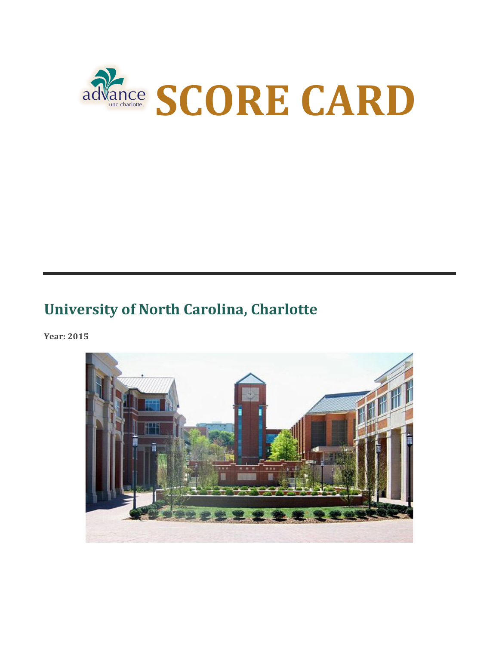

### **University of North Carolina, Charlotte**

**Year: 2015**

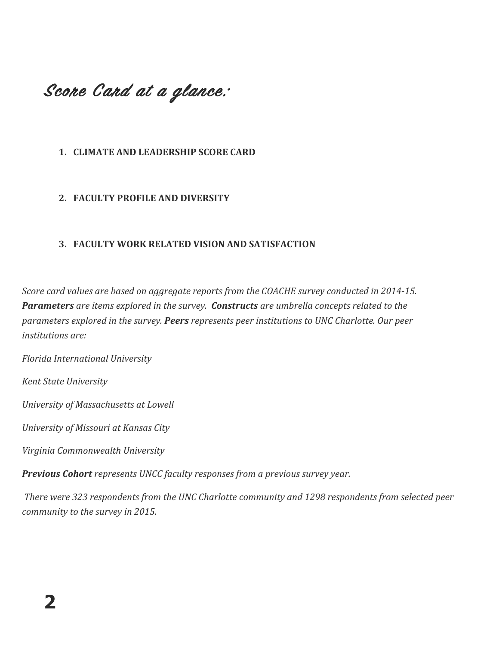## Score Card at a glance:

### 1. **CLIMATE AND LEADERSHIP SCORE CARD**

#### **2. FACULTY PROFILE AND DIVERSITY**

#### **3. FACULTY WORK RELATED VISION AND SATISFACTION**

*Score card values are based on aggregate reports from the COACHE survey conducted in 2014-15.* **Parameters** are items explored in the survey. Constructs are umbrella concepts related to the *parameters explored in the survey. Peers represents peer institutions to UNC Charlotte. Our peer institutions are:*

*Florida International University*

*Kent State University*

*University of Massachusetts at Lowell*

*University of Missouri at Kansas City*

*Virginia Commonwealth University*

**Previous Cohort** represents UNCC faculty responses from a previous survey year.

There were 323 respondents from the UNC Charlotte community and 1298 respondents from selected peer *community to the survey in 2015.*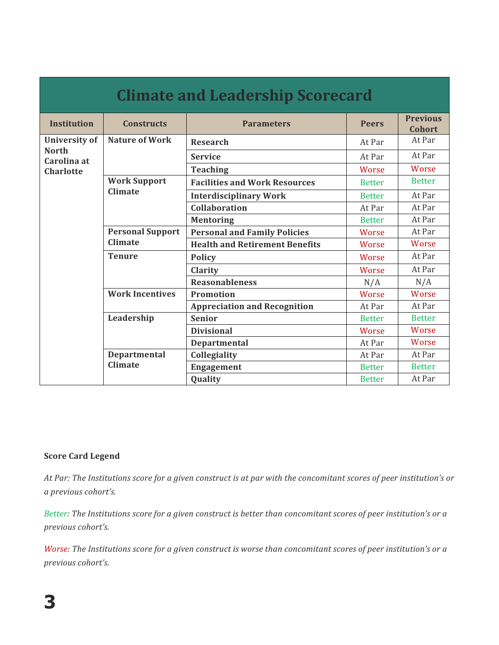| <b>Climate and Leadership Scorecard</b>                                 |                                       |                                       |               |                                  |  |
|-------------------------------------------------------------------------|---------------------------------------|---------------------------------------|---------------|----------------------------------|--|
| <b>Institution</b>                                                      | <b>Constructs</b>                     | <b>Parameters</b>                     | <b>Peers</b>  | <b>Previous</b><br><b>Cohort</b> |  |
| <b>University of</b><br><b>North</b><br>Carolina at<br><b>Charlotte</b> | <b>Nature of Work</b>                 | <b>Research</b>                       | At Par        | At Par                           |  |
|                                                                         |                                       | <b>Service</b>                        | At Par        | At Par                           |  |
|                                                                         |                                       | <b>Teaching</b>                       | Worse         | Worse                            |  |
|                                                                         | <b>Work Support</b><br>Climate        | <b>Facilities and Work Resources</b>  | <b>Better</b> | <b>Better</b>                    |  |
|                                                                         |                                       | <b>Interdisciplinary Work</b>         | <b>Better</b> | At Par                           |  |
|                                                                         |                                       | <b>Collaboration</b>                  | At Par        | At Par                           |  |
|                                                                         |                                       | <b>Mentoring</b>                      | <b>Better</b> | At Par                           |  |
|                                                                         | <b>Personal Support</b><br>Climate    | <b>Personal and Family Policies</b>   | Worse         | At Par                           |  |
|                                                                         |                                       | <b>Health and Retirement Benefits</b> | Worse         | Worse                            |  |
|                                                                         | <b>Tenure</b>                         | <b>Policy</b>                         | Worse         | At Par                           |  |
|                                                                         |                                       | <b>Clarity</b>                        | Worse         | At Par                           |  |
|                                                                         |                                       | <b>Reasonableness</b>                 | N/A           | N/A                              |  |
|                                                                         | <b>Work Incentives</b>                | Promotion                             | Worse         | Worse                            |  |
|                                                                         |                                       | <b>Appreciation and Recognition</b>   | At Par        | At Par                           |  |
|                                                                         | Leadership                            | <b>Senior</b>                         | <b>Better</b> | <b>Better</b>                    |  |
|                                                                         |                                       | <b>Divisional</b>                     | Worse         | Worse                            |  |
|                                                                         |                                       | Departmental                          | At Par        | Worse                            |  |
|                                                                         | <b>Departmental</b><br><b>Climate</b> | Collegiality                          | At Par        | At Par                           |  |
|                                                                         |                                       | <b>Engagement</b>                     | <b>Better</b> | <b>Better</b>                    |  |
|                                                                         |                                       | Quality                               | <b>Better</b> | At Par                           |  |

#### **Score Card Legend**

At Par: The Institutions score for a given construct is at par with the concomitant scores of peer institution's or *a previous cohort's.*

*Better:* The Institutions score for a given construct is better than concomitant scores of peer institution's or a *previous cohort's.*

*Worse: The Institutions score for a given construct is worse than concomitant scores of peer institution's or a previous cohort's.*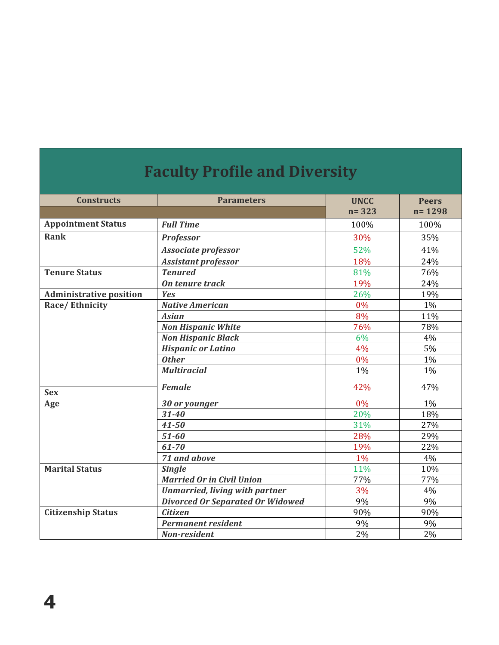| Faculty Profile and Diversity  |                                         |                          |                            |  |
|--------------------------------|-----------------------------------------|--------------------------|----------------------------|--|
| <b>Constructs</b>              | <b>Parameters</b>                       | <b>UNCC</b><br>$n = 323$ | <b>Peers</b><br>$n = 1298$ |  |
| <b>Appointment Status</b>      | <b>Full Time</b>                        | 100%                     | 100%                       |  |
| <b>Rank</b>                    | <b>Professor</b>                        | 30%                      | 35%                        |  |
|                                |                                         |                          |                            |  |
|                                | Associate professor                     | 52%                      | 41%                        |  |
|                                | <b>Assistant professor</b>              | 18%                      | 24%                        |  |
| <b>Tenure Status</b>           | <b>Tenured</b>                          | 81%                      | 76%                        |  |
|                                | On tenure track                         | 19%                      | 24%                        |  |
| <b>Administrative position</b> | Yes                                     | 26%                      | 19%                        |  |
| Race/Ethnicity                 | <b>Native American</b>                  | $0\%$                    | 1%                         |  |
|                                | <b>Asian</b>                            | 8%                       | 11%                        |  |
|                                | <b>Non Hispanic White</b>               | 76%                      | 78%                        |  |
|                                | <b>Non Hispanic Black</b>               | 6%                       | 4%                         |  |
|                                | <b>Hispanic or Latino</b>               | 4%                       | 5%                         |  |
|                                | <b>Other</b>                            | 0%                       | $1\%$                      |  |
|                                | <b>Multiracial</b>                      | 1%                       | 1%                         |  |
| <b>Sex</b>                     | <b>Female</b>                           | 42%                      | 47%                        |  |
| Age                            | 30 or younger                           | 0%                       | 1%                         |  |
|                                | $31 - 40$                               | 20%                      | 18%                        |  |
|                                | $41 - 50$                               | 31%                      | 27%                        |  |
|                                | $51 - 60$                               | 28%                      | 29%                        |  |
|                                | 61-70                                   | 19%                      | 22%                        |  |
|                                | 71 and above                            | 1%                       | 4%                         |  |
| <b>Marital Status</b>          | <b>Single</b>                           | 11%                      | 10%                        |  |
|                                | <b>Married Or in Civil Union</b>        | 77%                      | 77%                        |  |
|                                | <b>Unmarried, living with partner</b>   | 3%                       | 4%                         |  |
|                                | <b>Divorced Or Separated Or Widowed</b> | 9%                       | 9%                         |  |
| <b>Citizenship Status</b>      | <b>Citizen</b>                          | 90%                      | 90%                        |  |
|                                | <b>Permanent resident</b>               | 9%                       | 9%                         |  |
|                                | <b>Non-resident</b>                     | 2%                       | 2%                         |  |

# **Faculty Profile and Diversity**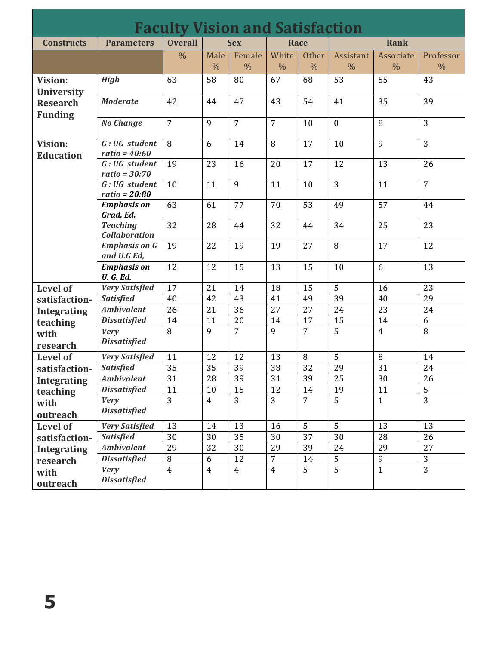| <b>Faculty Vision and Satisfaction</b>                            |                                         |                |                       |                         |                        |                               |                            |                            |                            |
|-------------------------------------------------------------------|-----------------------------------------|----------------|-----------------------|-------------------------|------------------------|-------------------------------|----------------------------|----------------------------|----------------------------|
| <b>Constructs</b>                                                 | <b>Parameters</b>                       | <b>Overall</b> |                       | <b>Sex</b>              | Race                   |                               |                            | <b>Rank</b>                |                            |
|                                                                   |                                         | $\frac{0}{0}$  | Male<br>$\frac{0}{0}$ | Female<br>$\frac{0}{0}$ | White<br>$\frac{0}{0}$ | <b>Other</b><br>$\frac{0}{0}$ | Assistant<br>$\frac{0}{0}$ | Associate<br>$\frac{0}{0}$ | Professor<br>$\frac{0}{0}$ |
| Vision:<br><b>University</b><br><b>Research</b><br><b>Funding</b> | <b>High</b>                             | 63             | 58                    | 80                      | 67                     | 68                            | 53                         | 55                         | 43                         |
|                                                                   | <b>Moderate</b>                         | 42             | 44                    | 47                      | 43                     | 54                            | 41                         | 35                         | 39                         |
|                                                                   | <b>No Change</b>                        | $\overline{7}$ | 9                     | $\overline{7}$          | $\overline{7}$         | 10                            | $\mathbf{0}$               | 8                          | 3                          |
| Vision:<br><b>Education</b>                                       | G: UG student<br>ratio = $40:60$        | 8              | 6                     | 14                      | 8                      | 17                            | 10                         | 9                          | $\overline{3}$             |
|                                                                   | G: UG student<br>$ratio = 30:70$        | 19             | 23                    | 16                      | 20                     | 17                            | 12                         | 13                         | 26                         |
|                                                                   | G: UG student<br>$ratio = 20:80$        | 10             | 11                    | 9                       | 11                     | 10                            | 3                          | 11                         | $\overline{7}$             |
|                                                                   | <b>Emphasis on</b><br>Grad. Ed.         | 63             | 61                    | 77                      | 70                     | 53                            | 49                         | 57                         | 44                         |
|                                                                   | <b>Teaching</b><br><b>Collaboration</b> | 32             | 28                    | 44                      | 32                     | 44                            | 34                         | 25                         | 23                         |
|                                                                   | <b>Emphasis on G</b><br>and U.G Ed,     | 19             | 22                    | 19                      | 19                     | 27                            | 8                          | 17                         | 12                         |
|                                                                   | <b>Emphasis on</b><br><b>U. G. Ed.</b>  | 12             | 12                    | 15                      | 13                     | 15                            | 10                         | 6                          | 13                         |
| <b>Level of</b>                                                   | <b>Very Satisfied</b>                   | 17             | 21                    | 14                      | 18                     | 15                            | 5                          | 16                         | 23                         |
| satisfaction-                                                     | <b>Satisfied</b>                        | 40             | 42                    | 43                      | 41                     | 49                            | $\overline{39}$            | 40                         | 29                         |
| <b>Integrating</b>                                                | <b>Ambivalent</b>                       | 26             | 21                    | 36                      | 27                     | 27                            | 24                         | 23                         | 24                         |
| teaching                                                          | <b>Dissatisfied</b>                     | 14             | 11                    | 20                      | 14                     | 17                            | 15                         | 14                         | 6                          |
| with<br>research                                                  | <b>Very</b><br><b>Dissatisfied</b>      | 8              | 9                     | $\overline{7}$          | 9                      | $\overline{7}$                | 5                          | $\overline{4}$             | $\, 8$                     |
| <b>Level of</b>                                                   | <b>Very Satisfied</b>                   | 11             | 12                    | 12                      | 13                     | $\, 8$                        | 5                          | $\, 8$                     | 14                         |
| satisfaction-                                                     | <b>Satisfied</b>                        | 35             | 35                    | 39                      | 38                     | 32                            | 29                         | 31                         | 24                         |
| <b>Integrating</b>                                                | <b>Ambivalent</b>                       | 31             | 28                    | 39                      | 31                     | 39                            | 25                         | 30                         | 26                         |
| teaching                                                          | <b>Dissatisfied</b>                     | 11             | 10                    | 15                      | 12                     | 14                            | 19                         | 11                         | $\overline{5}$             |
| with<br>outreach                                                  | <b>Very</b><br><b>Dissatisfied</b>      | 3              | $\overline{4}$        | 3                       | 3                      | $\overline{7}$                | 5                          | $\mathbf{1}$               | $\overline{3}$             |
| <b>Level of</b>                                                   | <b>Very Satisfied</b>                   | 13             | 14                    | 13                      | 16                     | 5                             | 5                          | 13                         | 13                         |
| satisfaction-                                                     | <b>Satisfied</b>                        | 30             | 30                    | 35                      | 30                     | 37                            | 30                         | 28                         | 26                         |
|                                                                   | <b>Ambivalent</b>                       | 29             | 32                    | 30                      | 29                     | 39                            | 24                         | 29                         | 27                         |
| <b>Integrating</b><br>research                                    | <b>Dissatisfied</b>                     | $\, 8$         | 6                     | 12                      | $\overline{7}$         | 14                            | 5                          | 9                          | 3                          |
| with<br>outreach                                                  | <b>Very</b><br><b>Dissatisfied</b>      | $\overline{4}$ | $\overline{4}$        | $\overline{4}$          | $\overline{4}$         | $\overline{5}$                | $\overline{5}$             | $\mathbf{1}$               | $\overline{3}$             |